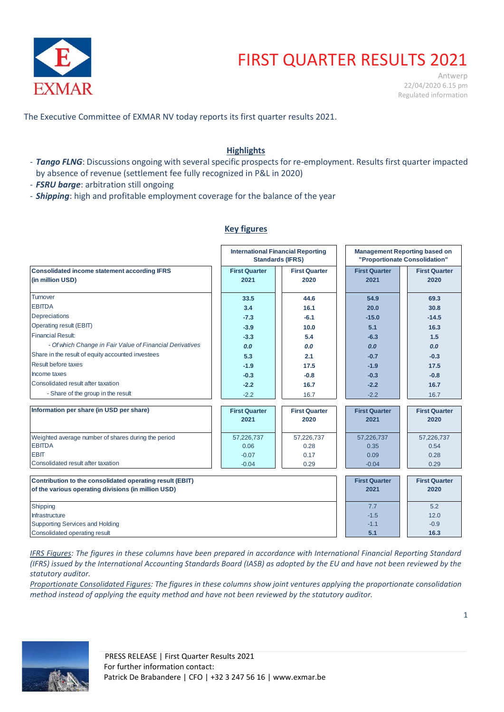

# FIRST QUARTER RESULTS 2021

Antwerp 22/04/2020 6.15 pm Regulated information

The Executive Committee of EXMAR NV today reports its first quarter results 2021.

## **Highlights**

- *Tango FLNG*: Discussions ongoing with several specific prospects for re-employment. Results first quarter impacted by absence of revenue (settlement fee fully recognized in P&L in 2020)
- *FSRU barge*: arbitration still ongoing
- *Shipping*: high and profitable employment coverage for the balance of the year

## **Key figures**

|                                                          |                      | <b>International Financial Reporting</b><br><b>Standards (IFRS)</b> | <b>Management Reporting based on</b><br>"Proportionate Consolidation" |                      |
|----------------------------------------------------------|----------------------|---------------------------------------------------------------------|-----------------------------------------------------------------------|----------------------|
| <b>Consolidated income statement according IFRS</b>      | <b>First Quarter</b> | <b>First Quarter</b>                                                | <b>First Quarter</b>                                                  | <b>First Quarter</b> |
| (in million USD)                                         | 2021                 | 2020                                                                | 2021                                                                  | 2020                 |
| Turnover                                                 | 33.5                 | 44.6                                                                | 54.9                                                                  | 69.3                 |
| <b>EBITDA</b>                                            | 3.4                  | 16.1                                                                | 20.0                                                                  | 30.8                 |
| Depreciations                                            | $-7.3$               | $-6.1$                                                              | $-15.0$                                                               | $-14.5$              |
| Operating result (EBIT)                                  | $-3.9$               | 10.0                                                                | 5.1                                                                   | 16.3                 |
| <b>Financial Result:</b>                                 | $-3.3$               | 5.4                                                                 | $-6.3$                                                                | 1.5                  |
| - Of which Change in Fair Value of Financial Derivatives | 0.0                  | 0.0                                                                 | 0.0                                                                   | 0.0                  |
| Share in the result of equity accounted investees        | 5.3                  | 2.1                                                                 | $-0.7$                                                                | $-0.3$               |
| Result before taxes                                      | $-1.9$               | 17.5                                                                | $-1.9$                                                                | 17.5                 |
| Income taxes                                             | $-0.3$               | $-0.8$                                                              | $-0.3$                                                                | $-0.8$               |
| Consolidated result after taxation                       | $-2.2$               | 16.7                                                                | $-2.2$                                                                | 16.7                 |
| - Share of the group in the result                       | $-2.2$               | 16.7                                                                | $-2.2$                                                                | 16.7                 |
| Information per share (in USD per share)                 | <b>First Quarter</b> | <b>First Quarter</b>                                                | <b>First Quarter</b>                                                  | <b>First Quarter</b> |
|                                                          | 2021                 | 2020                                                                | 2021                                                                  | 2020                 |
| Weighted average number of shares during the period      | 57,226,737           | 57,226,737                                                          | 57,226,737                                                            | 57,226,737           |
| <b>EBITDA</b>                                            | 0.06                 | 0.28                                                                | 0.35                                                                  | 0.54                 |
| <b>EBIT</b>                                              | $-0.07$              | 0.17                                                                | 0.09                                                                  | 0.28                 |
| Consolidated result after taxation                       | $-0.04$              | 0.29                                                                | $-0.04$                                                               | 0.29                 |
| Contribution to the consolidated operating result (EBIT) |                      |                                                                     | <b>First Quarter</b>                                                  | <b>First Quarter</b> |
| of the various operating divisions (in million USD)      |                      |                                                                     | 2021                                                                  | 2020                 |
| Shipping                                                 |                      |                                                                     | 7.7                                                                   | 5.2                  |
| Infrastructure                                           |                      |                                                                     | $-1.5$                                                                | 12.0                 |
| Supporting Services and Holding                          |                      |                                                                     | $-1.1$                                                                | $-0.9$               |
| Consolidated operating result                            |                      |                                                                     | 5.1                                                                   | 16.3                 |

*IFRS Figures: The figures in these columns have been prepared in accordance with International Financial Reporting Standard (IFRS) issued by the International Accounting Standards Board (IASB) as adopted by the EU and have not been reviewed by the statutory auditor.* 

*Proportionate Consolidated Figures: The figures in these columns show joint ventures applying the proportionate consolidation method instead of applying the equity method and have not been reviewed by the statutory auditor.* 

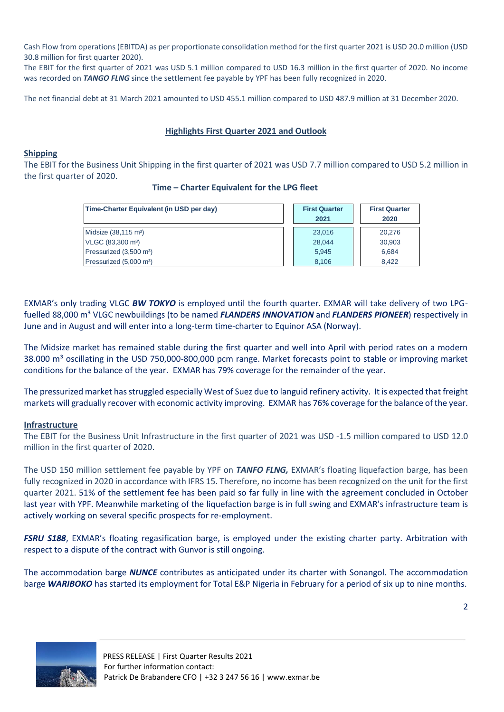Cash Flow from operations (EBITDA) as per proportionate consolidation method for the first quarter 2021 is USD 20.0 million (USD 30.8 million for first quarter 2020).

The EBIT for the first quarter of 2021 was USD 5.1 million compared to USD 16.3 million in the first quarter of 2020. No income was recorded on *TANGO FLNG* since the settlement fee payable by YPF has been fully recognized in 2020.

The net financial debt at 31 March 2021 amounted to USD 455.1 million compared to USD 487.9 million at 31 December 2020.

### **Highlights First Quarter 2021 and Outlook**

#### **Shipping**

The EBIT for the Business Unit Shipping in the first quarter of 2021 was USD 7.7 million compared to USD 5.2 million in the first quarter of 2020.

**Time – Charter Equivalent for the LPG fleet**

| Time-Charter Equivalent (in USD per day) | <b>First Quarter</b><br>2021 | <b>First Quarter</b><br>2020 |
|------------------------------------------|------------------------------|------------------------------|
| Midsize (38,115 m <sup>3</sup> )         | 23,016                       | 20.276                       |
| VLGC (83,300 m <sup>3</sup> )            | 28.044                       | 30,903                       |
| Pressurized (3,500 m <sup>3</sup> )      | 5.945                        | 6,684                        |
| Pressurized (5,000 m <sup>3</sup> )      | 8.106                        | 8.422                        |

EXMAR's only trading VLGC *BW TOKYO* is employed until the fourth quarter. EXMAR will take delivery of two LPGfuelled 88,000 m<sup>3</sup> VLGC newbuildings (to be named *FLANDERS INNOVATION* and *FLANDERS PIONEER*) respectively in June and in August and will enter into a long-term time-charter to Equinor ASA (Norway).

The Midsize market has remained stable during the first quarter and well into April with period rates on a modern 38.000 m<sup>3</sup> oscillating in the USD 750,000-800,000 pcm range. Market forecasts point to stable or improving market conditions for the balance of the year. EXMAR has 79% coverage for the remainder of the year.

The pressurized market has struggled especially West of Suez due to languid refinery activity. It is expected that freight markets will gradually recover with economic activity improving. EXMAR has 76% coverage for the balance of the year.

#### **Infrastructure**

The EBIT for the Business Unit Infrastructure in the first quarter of 2021 was USD -1.5 million compared to USD 12.0 million in the first quarter of 2020.

The USD 150 million settlement fee payable by YPF on *TANFO FLNG,* EXMAR's floating liquefaction barge, has been fully recognized in 2020 in accordance with IFRS 15. Therefore, no income has been recognized on the unit for the first quarter 2021. 51% of the settlement fee has been paid so far fully in line with the agreement concluded in October last year with YPF. Meanwhile marketing of the liquefaction barge is in full swing and EXMAR's infrastructure team is actively working on several specific prospects for re-employment.

*FSRU S188*, EXMAR's floating regasification barge, is employed under the existing charter party. Arbitration with respect to a dispute of the contract with Gunvor is still ongoing.

The accommodation barge *NUNCE* contributes as anticipated under its charter with Sonangol. The accommodation barge *WARIBOKO* has started its employment for Total E&P Nigeria in February for a period of six up to nine months.